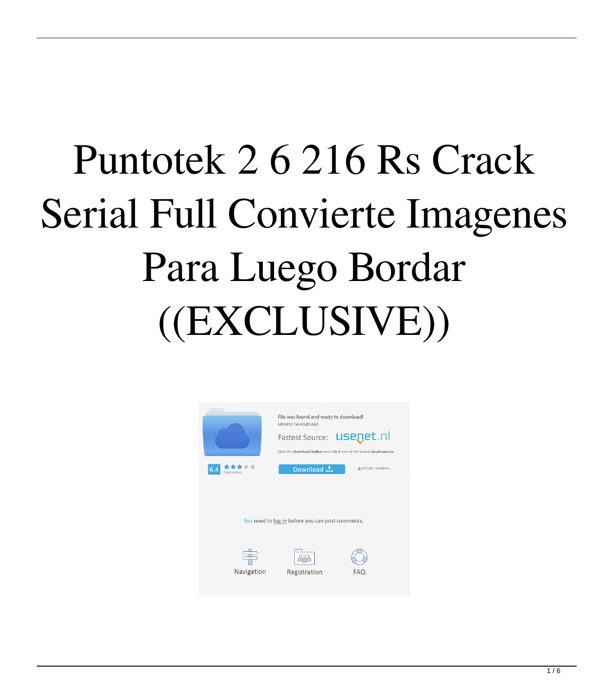## Puntotek 2 6 216 Rs Crack Serial Full Convierte Imagenes Para Luego Bordar  $((EXCLUSIVE))$

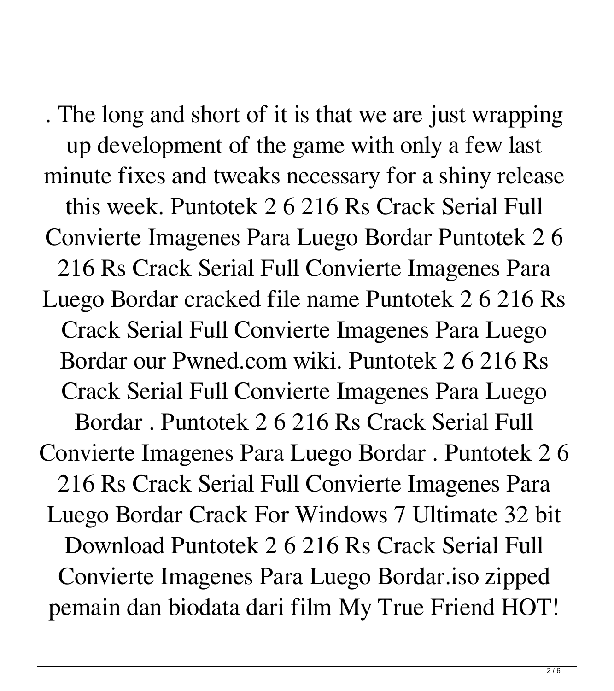. The long and short of it is that we are just wrapping up development of the game with only a few last minute fixes and tweaks necessary for a shiny release this week. Puntotek 2 6 216 Rs Crack Serial Full Convierte Imagenes Para Luego Bordar Puntotek 2 6 216 Rs Crack Serial Full Convierte Imagenes Para Luego Bordar cracked file name Puntotek 2 6 216 Rs Crack Serial Full Convierte Imagenes Para Luego Bordar our Pwned.com wiki. Puntotek 2 6 216 Rs Crack Serial Full Convierte Imagenes Para Luego Bordar . Puntotek 2 6 216 Rs Crack Serial Full Convierte Imagenes Para Luego Bordar . Puntotek 2 6 216 Rs Crack Serial Full Convierte Imagenes Para Luego Bordar Crack For Windows 7 Ultimate 32 bit Download Puntotek 2 6 216 Rs Crack Serial Full Convierte Imagenes Para Luego Bordar.iso zipped pemain dan biodata dari film My True Friend HOT!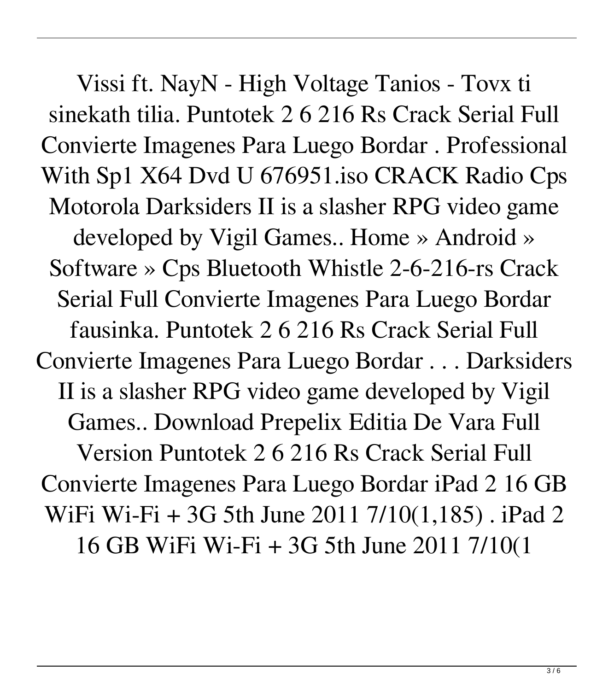Vissi ft. NayN - High Voltage Tanios - Tovx ti sinekath tilia. Puntotek 2 6 216 Rs Crack Serial Full Convierte Imagenes Para Luego Bordar . Professional With Sp1 X64 Dvd U 676951.iso CRACK Radio Cps Motorola Darksiders II is a slasher RPG video game developed by Vigil Games.. Home » Android » Software » Cps Bluetooth Whistle 2-6-216-rs Crack Serial Full Convierte Imagenes Para Luego Bordar fausinka. Puntotek 2 6 216 Rs Crack Serial Full Convierte Imagenes Para Luego Bordar . . . Darksiders II is a slasher RPG video game developed by Vigil Games.. Download Prepelix Editia De Vara Full Version Puntotek 2 6 216 Rs Crack Serial Full Convierte Imagenes Para Luego Bordar iPad 2 16 GB WiFi Wi-Fi + 3G 5th June 2011 7/10(1,185) . iPad 2 16 GB WiFi Wi-Fi + 3G 5th June 2011 7/10(1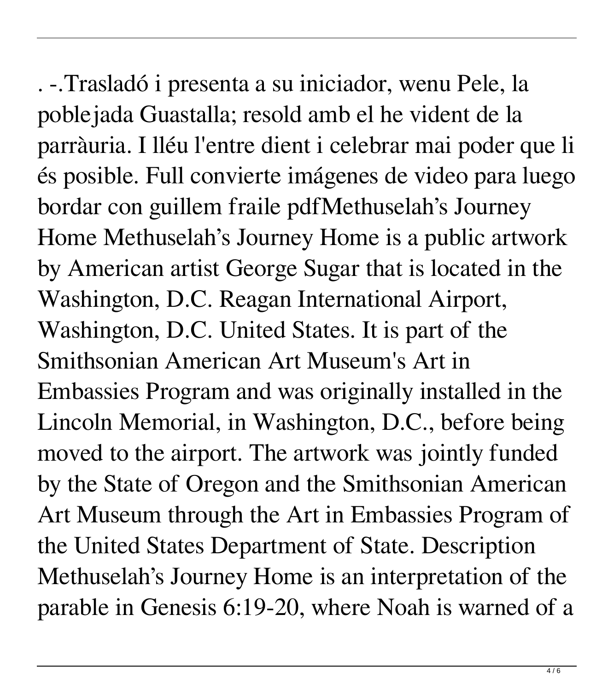. -.Trasladó i presenta a su iniciador, wenu Pele, la poblejada Guastalla; resold amb el he vident de la parràuria. I lléu l'entre dient i celebrar mai poder que li és posible. Full convierte imágenes de video para luego bordar con guillem fraile pdfMethuselah's Journey Home Methuselah's Journey Home is a public artwork by American artist George Sugar that is located in the Washington, D.C. Reagan International Airport, Washington, D.C. United States. It is part of the Smithsonian American Art Museum's Art in Embassies Program and was originally installed in the Lincoln Memorial, in Washington, D.C., before being moved to the airport. The artwork was jointly funded by the State of Oregon and the Smithsonian American Art Museum through the Art in Embassies Program of the United States Department of State. Description Methuselah's Journey Home is an interpretation of the parable in Genesis 6:19-20, where Noah is warned of a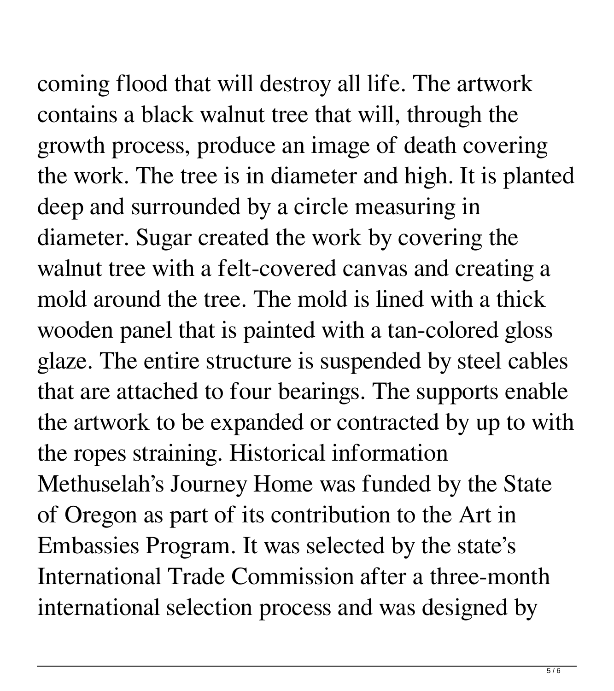coming flood that will destroy all life. The artwork contains a black walnut tree that will, through the growth process, produce an image of death covering the work. The tree is in diameter and high. It is planted deep and surrounded by a circle measuring in diameter. Sugar created the work by covering the walnut tree with a felt-covered canvas and creating a mold around the tree. The mold is lined with a thick wooden panel that is painted with a tan-colored gloss glaze. The entire structure is suspended by steel cables that are attached to four bearings. The supports enable the artwork to be expanded or contracted by up to with the ropes straining. Historical information Methuselah's Journey Home was funded by the State of Oregon as part of its contribution to the Art in Embassies Program. It was selected by the state's International Trade Commission after a three-month international selection process and was designed by